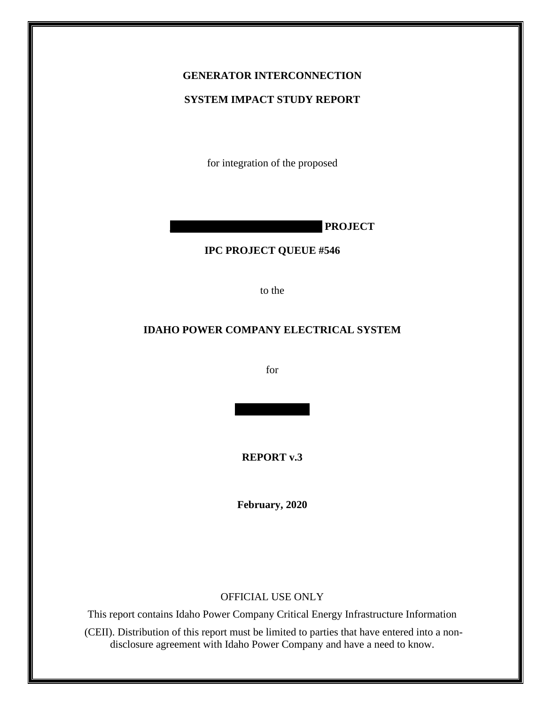# **GENERATOR INTERCONNECTION**

#### **SYSTEM IMPACT STUDY REPORT**

for integration of the proposed

**\_\_\_\_\_\_\_\_\_\_\_\_\_\_ \_\_\_\_\_\_\_\_\_\_\_\_\_\_ PROJECT**

#### **IPC PROJECT QUEUE #546**

to the

### **IDAHO POWER COMPANY ELECTRICAL SYSTEM**

for

**REPORT v.3**

**February, 2020**

#### OFFICIAL USE ONLY

This report contains Idaho Power Company Critical Energy Infrastructure Information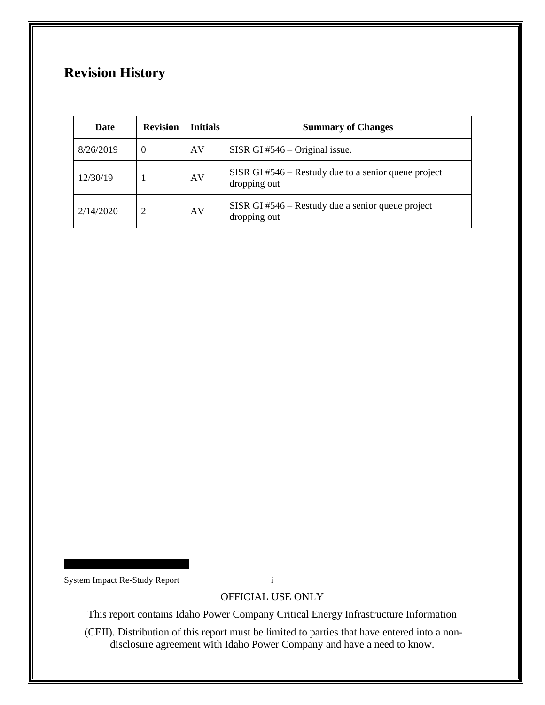## **Revision History**

| Date      | <b>Revision</b> | <b>Initials</b> | <b>Summary of Changes</b>                                              |
|-----------|-----------------|-----------------|------------------------------------------------------------------------|
| 8/26/2019 |                 | AV              | SISR GI $#546 -$ Original issue.                                       |
| 12/30/19  |                 | AV              | SISR GI $#546$ – Restudy due to a senior queue project<br>dropping out |
| 2/14/2020 |                 | AV              | SISR GI#546 – Restudy due a senior queue project<br>dropping out       |

System Impact Re-Study Report i

OFFICIAL USE ONLY

This report contains Idaho Power Company Critical Energy Infrastructure Information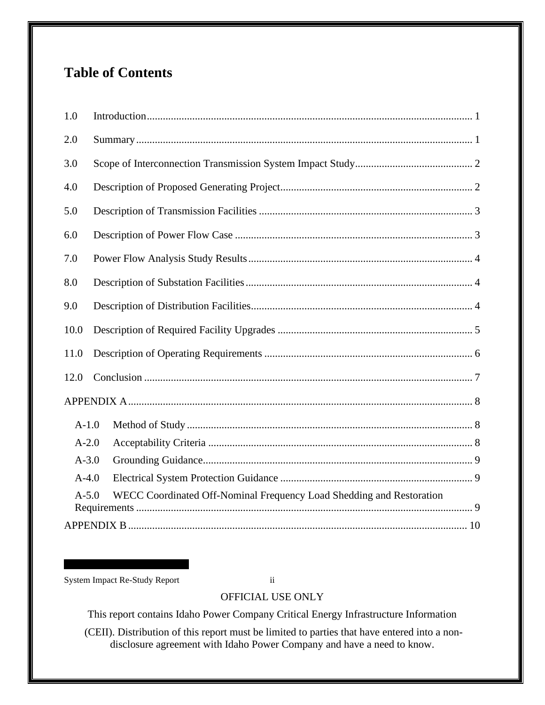## **Table of Contents**

| 1.0       |                                                                      |
|-----------|----------------------------------------------------------------------|
| 2.0       |                                                                      |
| 3.0       |                                                                      |
| 4.0       |                                                                      |
| 5.0       |                                                                      |
| 6.0       |                                                                      |
| 7.0       |                                                                      |
| 8.0       |                                                                      |
| 9.0       |                                                                      |
| 10.0      |                                                                      |
| 11.0      |                                                                      |
| 12.0      |                                                                      |
|           |                                                                      |
| $A-1.0$   |                                                                      |
| $A-2.0$   |                                                                      |
| $A - 3.0$ |                                                                      |
| $A-4.0$   |                                                                      |
| $A-5.0$   | WECC Coordinated Off-Nominal Frequency Load Shedding and Restoration |
|           |                                                                      |

System Impact Re-Study Report ii

## OFFICIAL USE ONLY

This report contains Idaho Power Company Critical Energy Infrastructure Information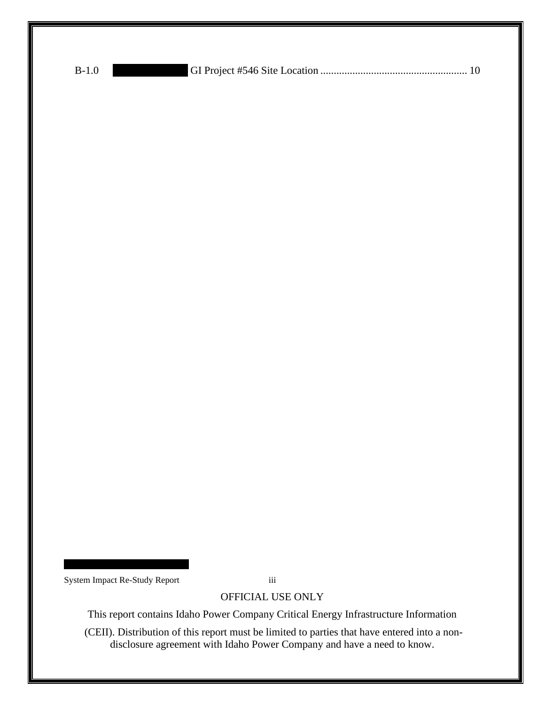| $B-1.0$ |  |
|---------|--|
|---------|--|

System Impact Re-Study Report iii

OFFICIAL USE ONLY

This report contains Idaho Power Company Critical Energy Infrastructure Information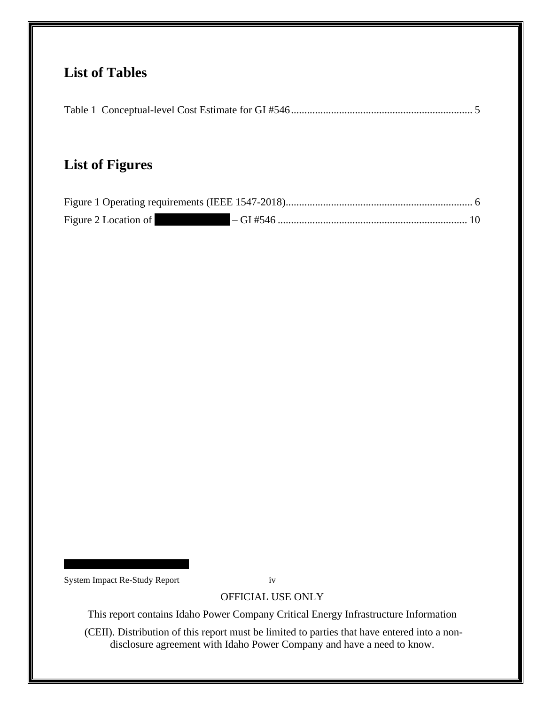## **List of Tables**

|--|--|

## **List of Figures**

| Figure 2 Location of |  |
|----------------------|--|

System Impact Re-Study Report iv

OFFICIAL USE ONLY

This report contains Idaho Power Company Critical Energy Infrastructure Information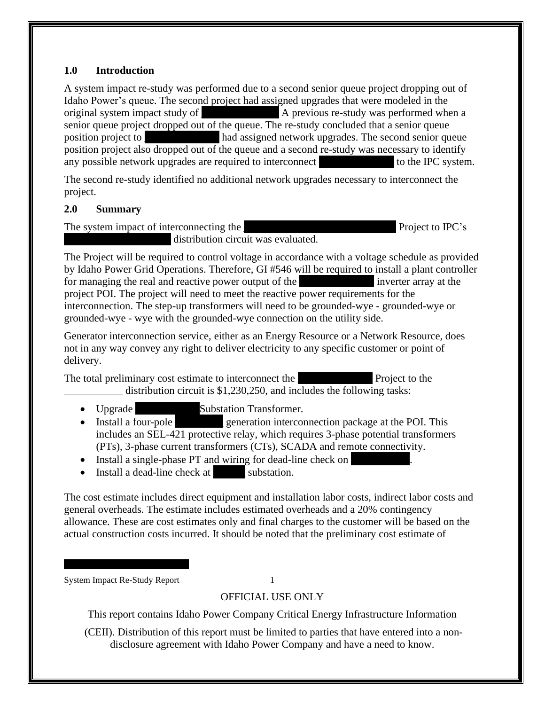### <span id="page-5-0"></span>**1.0 Introduction**

A system impact re-study was performed due to a second senior queue project dropping out of Idaho Power's queue. The second project had assigned upgrades that were modeled in the original system impact study of **A** previous re-study was performed when a senior queue project dropped out of the queue. The re-study concluded that a senior queue position project to had assigned network upgrades. The second senior queue position project also dropped out of the queue and a second re-study was necessary to identify any possible network upgrades are required to interconnect to the IPC system.

The second re-study identified no additional network upgrades necessary to interconnect the project.

#### <span id="page-5-1"></span>**2.0 Summary**

The system impact of interconnecting the example and a project to IPC's distribution circuit was evaluated.

The Project will be required to control voltage in accordance with a voltage schedule as provided by Idaho Power Grid Operations. Therefore, GI #546 will be required to install a plant controller for managing the real and reactive power output of the **EXECUTE:** inverter array at the project POI. The project will need to meet the reactive power requirements for the interconnection. The step-up transformers will need to be grounded-wye - grounded-wye or grounded-wye - wye with the grounded-wye connection on the utility side.

Generator interconnection service, either as an Energy Resource or a Network Resource, does not in any way convey any right to deliver electricity to any specific customer or point of delivery.

The total preliminary cost estimate to interconnect the **Project** to the **Project** to the distribution circuit is \$1,230,250, and includes the following tasks:

- Upgrade Substation Transformer.
- Install a four-pole generation interconnection package at the POI. This includes an SEL-421 protective relay, which requires 3-phase potential transformers (PTs), 3-phase current transformers (CTs), SCADA and remote connectivity.
- Install a single-phase PT and wiring for dead-line check on
- Install a dead-line check at substation.

The cost estimate includes direct equipment and installation labor costs, indirect labor costs and general overheads. The estimate includes estimated overheads and a 20% contingency allowance. These are cost estimates only and final charges to the customer will be based on the actual construction costs incurred. It should be noted that the preliminary cost estimate of

System Impact Re-Study Report 1

OFFICIAL USE ONLY

This report contains Idaho Power Company Critical Energy Infrastructure Information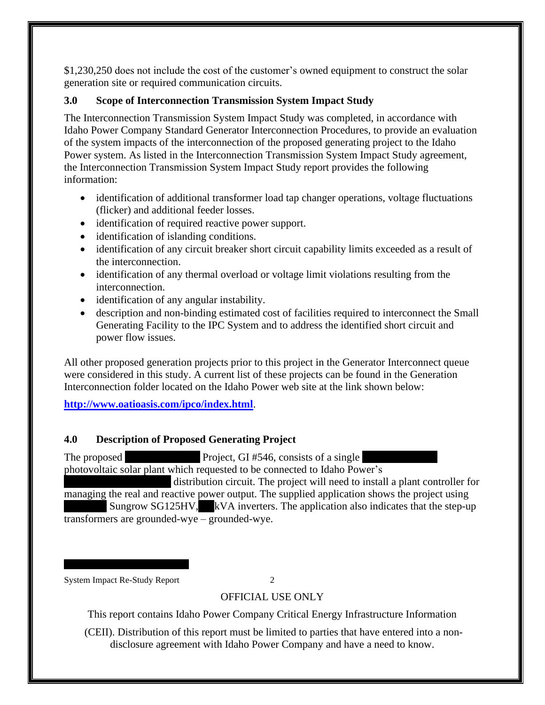\$1,230,250 does not include the cost of the customer's owned equipment to construct the solar generation site or required communication circuits.

## <span id="page-6-0"></span>**3.0 Scope of Interconnection Transmission System Impact Study**

The Interconnection Transmission System Impact Study was completed, in accordance with Idaho Power Company Standard Generator Interconnection Procedures, to provide an evaluation of the system impacts of the interconnection of the proposed generating project to the Idaho Power system. As listed in the Interconnection Transmission System Impact Study agreement, the Interconnection Transmission System Impact Study report provides the following information:

- identification of additional transformer load tap changer operations, voltage fluctuations (flicker) and additional feeder losses.
- identification of required reactive power support.
- identification of islanding conditions.
- identification of any circuit breaker short circuit capability limits exceeded as a result of the interconnection.
- identification of any thermal overload or voltage limit violations resulting from the interconnection.
- identification of any angular instability.
- description and non-binding estimated cost of facilities required to interconnect the Small Generating Facility to the IPC System and to address the identified short circuit and power flow issues.

All other proposed generation projects prior to this project in the Generator Interconnect queue were considered in this study. A current list of these projects can be found in the Generation Interconnection folder located on the Idaho Power web site at the link shown below:

**<http://www.oatioasis.com/ipco/index.html>**.

## <span id="page-6-1"></span>**4.0 Description of Proposed Generating Project**

The proposed Project, GI #546, consists of a single photovoltaic solar plant which requested to be connected to Idaho Power's distribution circuit. The project will need to install a plant controller for managing the real and reactive power output. The supplied application shows the project using Sungrow SG125HV, kVA inverters. The application also indicates that the step-up transformers are grounded-wye – grounded-wye.

System Impact Re-Study Report 2

## OFFICIAL USE ONLY

This report contains Idaho Power Company Critical Energy Infrastructure Information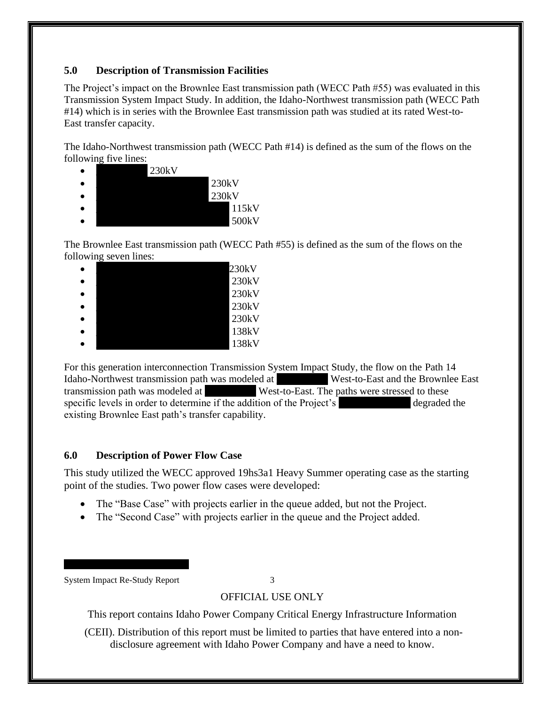## <span id="page-7-0"></span>**5.0 Description of Transmission Facilities**

The Project's impact on the Brownlee East transmission path (WECC Path #55) was evaluated in this Transmission System Impact Study. In addition, the Idaho-Northwest transmission path (WECC Path #14) which is in series with the Brownlee East transmission path was studied at its rated West-to-East transfer capacity.

The Idaho-Northwest transmission path (WECC Path #14) is defined as the sum of the flows on the following five lines:

| 230kV |       |
|-------|-------|
|       | 230kV |
|       | 230kV |
|       | 115kV |
|       | 500kV |

The Brownlee East transmission path (WECC Path #55) is defined as the sum of the flows on the following seven lines:

|  | 230kV |
|--|-------|
|  | 230kV |
|  | 230kV |
|  | 230kV |
|  | 230kV |
|  | 138kV |
|  | 138kV |

For this generation interconnection Transmission System Impact Study, the flow on the Path 14 Idaho-Northwest transmission path was modeled at West-to-East and the Brownlee East transmission path was modeled at West-to-East. The paths were stressed to these specific levels in order to determine if the addition of the Project's degraded the existing Brownlee East path's transfer capability.

#### <span id="page-7-1"></span>**6.0 Description of Power Flow Case**

This study utilized the WECC approved 19hs3a1 Heavy Summer operating case as the starting point of the studies. Two power flow cases were developed:

- The "Base Case" with projects earlier in the queue added, but not the Project.
- The "Second Case" with projects earlier in the queue and the Project added.

System Impact Re-Study Report 3

## OFFICIAL USE ONLY

This report contains Idaho Power Company Critical Energy Infrastructure Information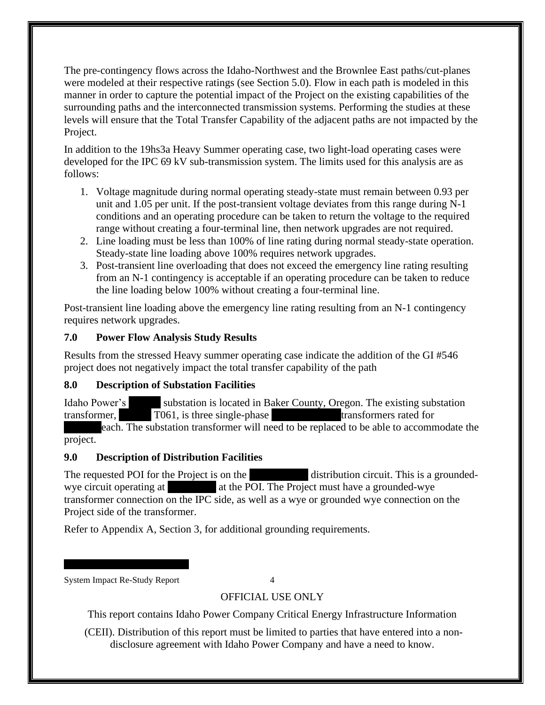The pre-contingency flows across the Idaho-Northwest and the Brownlee East paths/cut-planes were modeled at their respective ratings (see Section 5.0). Flow in each path is modeled in this manner in order to capture the potential impact of the Project on the existing capabilities of the surrounding paths and the interconnected transmission systems. Performing the studies at these levels will ensure that the Total Transfer Capability of the adjacent paths are not impacted by the Project.

In addition to the 19hs3a Heavy Summer operating case, two light-load operating cases were developed for the IPC 69 kV sub-transmission system. The limits used for this analysis are as follows:

- 1. Voltage magnitude during normal operating steady-state must remain between 0.93 per unit and 1.05 per unit. If the post-transient voltage deviates from this range during N-1 conditions and an operating procedure can be taken to return the voltage to the required range without creating a four-terminal line, then network upgrades are not required.
- 2. Line loading must be less than 100% of line rating during normal steady-state operation. Steady-state line loading above 100% requires network upgrades.
- 3. Post-transient line overloading that does not exceed the emergency line rating resulting from an N-1 contingency is acceptable if an operating procedure can be taken to reduce the line loading below 100% without creating a four-terminal line.

Post-transient line loading above the emergency line rating resulting from an N-1 contingency requires network upgrades.

## <span id="page-8-0"></span>**7.0 Power Flow Analysis Study Results**

Results from the stressed Heavy summer operating case indicate the addition of the GI #546 project does not negatively impact the total transfer capability of the path

## <span id="page-8-1"></span>**8.0 Description of Substation Facilities**

Idaho Power's substation is located in Baker County, Oregon. The existing substation transformer, T061, is three single-phase transformers rated for each. The substation transformer will need to be replaced to be able to accommodate the

project.

## <span id="page-8-2"></span>**9.0 Description of Distribution Facilities**

The requested POI for the Project is on the distribution circuit. This is a groundedwye circuit operating at  $\qquad$  at the POI. The Project must have a grounded-wye transformer connection on the IPC side, as well as a wye or grounded wye connection on the Project side of the transformer.

Refer to Appendix A, Section 3, for additional grounding requirements.

System Impact Re-Study Report 4

## OFFICIAL USE ONLY

This report contains Idaho Power Company Critical Energy Infrastructure Information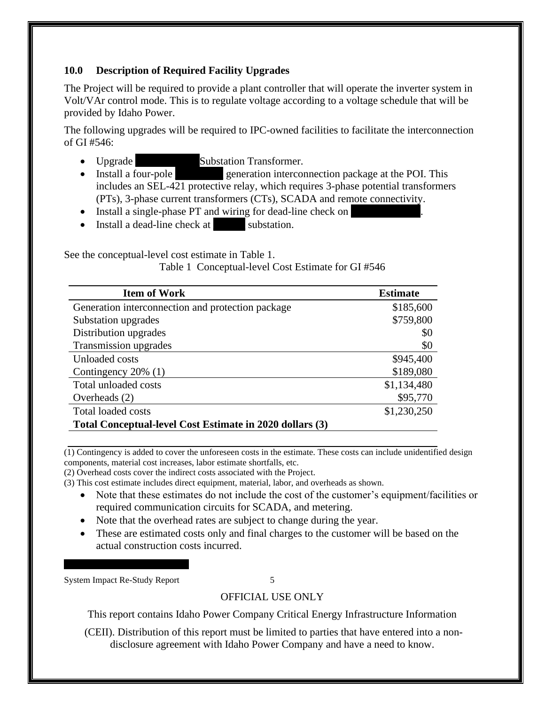## <span id="page-9-0"></span>**10.0 Description of Required Facility Upgrades**

The Project will be required to provide a plant controller that will operate the inverter system in Volt/VAr control mode. This is to regulate voltage according to a voltage schedule that will be provided by Idaho Power.

The following upgrades will be required to IPC-owned facilities to facilitate the interconnection of GI #546:

- Upgrade Substation Transformer.
- Install a four-pole generation interconnection package at the POI. This includes an SEL-421 protective relay, which requires 3-phase potential transformers (PTs), 3-phase current transformers (CTs), SCADA and remote connectivity.
- Install a single-phase PT and wiring for dead-line check on
- Install a dead-line check at substation.

<span id="page-9-1"></span>See the conceptual-level cost estimate in Table 1.

Table 1 Conceptual-level Cost Estimate for GI #546

| <b>Item of Work</b>                                      | <b>Estimate</b> |
|----------------------------------------------------------|-----------------|
| Generation interconnection and protection package        | \$185,600       |
| Substation upgrades                                      | \$759,800       |
| Distribution upgrades                                    | \$0             |
| Transmission upgrades                                    | \$0             |
| Unloaded costs                                           | \$945,400       |
| Contingency $20\%$ (1)                                   | \$189,080       |
| Total unloaded costs                                     | \$1,134,480     |
| Overheads $(2)$                                          | \$95,770        |
| <b>Total loaded costs</b>                                | \$1,230,250     |
| Total Conceptual-level Cost Estimate in 2020 dollars (3) |                 |

(1) Contingency is added to cover the unforeseen costs in the estimate. These costs can include unidentified design components, material cost increases, labor estimate shortfalls, etc.

(2) Overhead costs cover the indirect costs associated with the Project.

- (3) This cost estimate includes direct equipment, material, labor, and overheads as shown.
	- Note that these estimates do not include the cost of the customer's equipment/facilities or required communication circuits for SCADA, and metering.
	- Note that the overhead rates are subject to change during the year.
	- These are estimated costs only and final charges to the customer will be based on the actual construction costs incurred.

System Impact Re-Study Report 5

## OFFICIAL USE ONLY

This report contains Idaho Power Company Critical Energy Infrastructure Information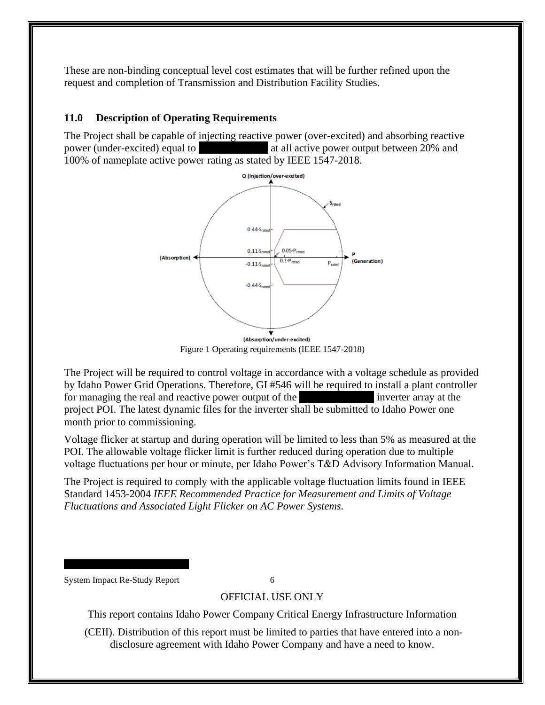These are non-binding conceptual level cost estimates that will be further refined upon the request and completion of Transmission and Distribution Facility Studies.

#### <span id="page-10-0"></span>**11.0 Description of Operating Requirements**

The Project shall be capable of injecting reactive power (over-excited) and absorbing reactive power (under-excited) equal to \_\_\_\_\_\_\_\_\_\_\_\_\_ at all active power output between 20% and 100% of nameplate active power rating as stated by IEEE 1547-2018.



<span id="page-10-1"></span>The Project will be required to control voltage in accordance with a voltage schedule as provided by Idaho Power Grid Operations. Therefore, GI #546 will be required to install a plant controller for managing the real and reactive power output of the the inverter array at the project POI. The latest dynamic files for the inverter shall be submitted to Idaho Power one month prior to commissioning.

Voltage flicker at startup and during operation will be limited to less than 5% as measured at the POI. The allowable voltage flicker limit is further reduced during operation due to multiple voltage fluctuations per hour or minute, per Idaho Power's T&D Advisory Information Manual.

The Project is required to comply with the applicable voltage fluctuation limits found in IEEE Standard 1453-2004 *IEEE Recommended Practice for Measurement and Limits of Voltage Fluctuations and Associated Light Flicker on AC Power Systems.* 

System Impact Re-Study Report 6

#### OFFICIAL USE ONLY

This report contains Idaho Power Company Critical Energy Infrastructure Information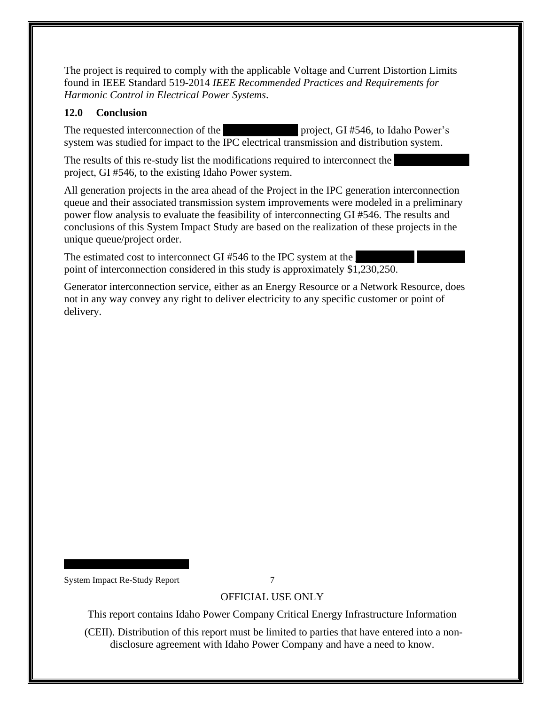The project is required to comply with the applicable Voltage and Current Distortion Limits found in IEEE Standard 519-2014 *IEEE Recommended Practices and Requirements for Harmonic Control in Electrical Power Systems*.

#### <span id="page-11-0"></span>**12.0 Conclusion**

The requested interconnection of the **Example 20** project, GI #546, to Idaho Power's system was studied for impact to the IPC electrical transmission and distribution system.

The results of this re-study list the modifications required to interconnect the project, GI #546, to the existing Idaho Power system.

All generation projects in the area ahead of the Project in the IPC generation interconnection queue and their associated transmission system improvements were modeled in a preliminary power flow analysis to evaluate the feasibility of interconnecting GI #546. The results and conclusions of this System Impact Study are based on the realization of these projects in the unique queue/project order.

The estimated cost to interconnect GI #546 to the IPC system at the point of interconnection considered in this study is approximately \$1,230,250.

Generator interconnection service, either as an Energy Resource or a Network Resource, does not in any way convey any right to deliver electricity to any specific customer or point of delivery.

System Impact Re-Study Report 7

## OFFICIAL USE ONLY

This report contains Idaho Power Company Critical Energy Infrastructure Information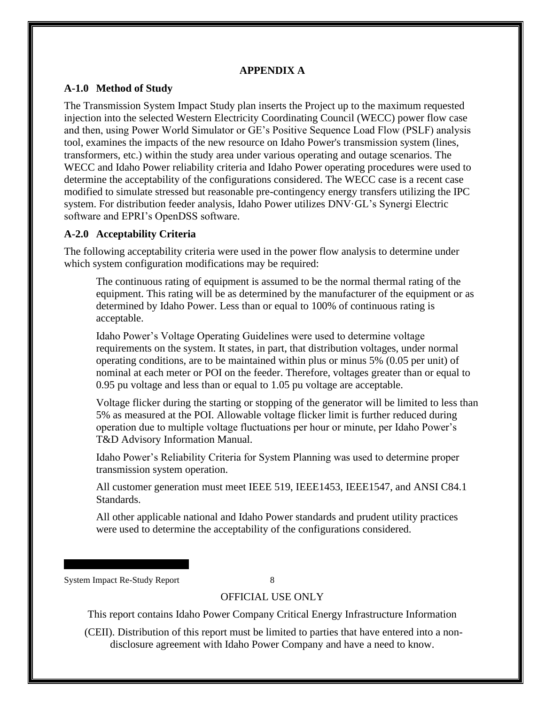#### **APPENDIX A**

#### <span id="page-12-1"></span><span id="page-12-0"></span>**A-1.0 Method of Study**

The Transmission System Impact Study plan inserts the Project up to the maximum requested injection into the selected Western Electricity Coordinating Council (WECC) power flow case and then, using Power World Simulator or GE's Positive Sequence Load Flow (PSLF) analysis tool, examines the impacts of the new resource on Idaho Power's transmission system (lines, transformers, etc.) within the study area under various operating and outage scenarios. The WECC and Idaho Power reliability criteria and Idaho Power operating procedures were used to determine the acceptability of the configurations considered. The WECC case is a recent case modified to simulate stressed but reasonable pre-contingency energy transfers utilizing the IPC system. For distribution feeder analysis, Idaho Power utilizes DNV·GL's Synergi Electric software and EPRI's OpenDSS software.

#### <span id="page-12-2"></span>**A-2.0 Acceptability Criteria**

The following acceptability criteria were used in the power flow analysis to determine under which system configuration modifications may be required:

The continuous rating of equipment is assumed to be the normal thermal rating of the equipment. This rating will be as determined by the manufacturer of the equipment or as determined by Idaho Power. Less than or equal to 100% of continuous rating is acceptable.

Idaho Power's Voltage Operating Guidelines were used to determine voltage requirements on the system. It states, in part, that distribution voltages, under normal operating conditions, are to be maintained within plus or minus 5% (0.05 per unit) of nominal at each meter or POI on the feeder. Therefore, voltages greater than or equal to 0.95 pu voltage and less than or equal to 1.05 pu voltage are acceptable.

Voltage flicker during the starting or stopping of the generator will be limited to less than 5% as measured at the POI. Allowable voltage flicker limit is further reduced during operation due to multiple voltage fluctuations per hour or minute, per Idaho Power's T&D Advisory Information Manual.

Idaho Power's Reliability Criteria for System Planning was used to determine proper transmission system operation.

All customer generation must meet IEEE 519, IEEE1453, IEEE1547, and ANSI C84.1 Standards.

All other applicable national and Idaho Power standards and prudent utility practices were used to determine the acceptability of the configurations considered.

System Impact Re-Study Report 8

#### OFFICIAL USE ONLY

This report contains Idaho Power Company Critical Energy Infrastructure Information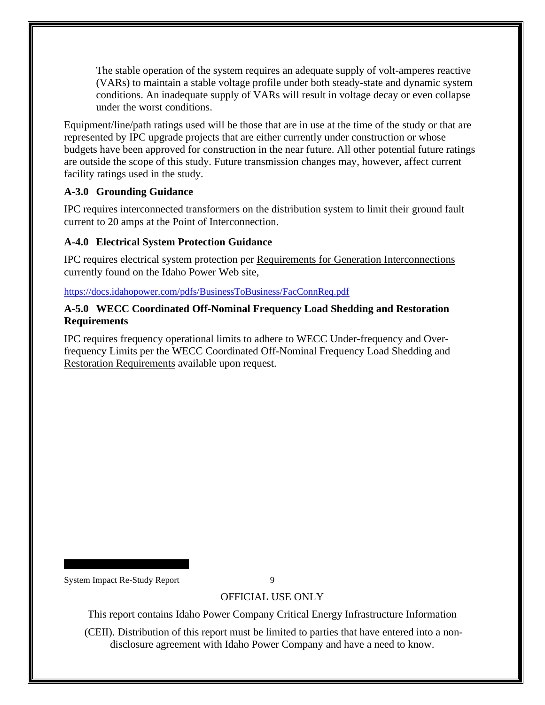The stable operation of the system requires an adequate supply of volt-amperes reactive (VARs) to maintain a stable voltage profile under both steady-state and dynamic system conditions. An inadequate supply of VARs will result in voltage decay or even collapse under the worst conditions.

Equipment/line/path ratings used will be those that are in use at the time of the study or that are represented by IPC upgrade projects that are either currently under construction or whose budgets have been approved for construction in the near future. All other potential future ratings are outside the scope of this study. Future transmission changes may, however, affect current facility ratings used in the study.

#### <span id="page-13-0"></span>**A-3.0 Grounding Guidance**

IPC requires interconnected transformers on the distribution system to limit their ground fault current to 20 amps at the Point of Interconnection.

## <span id="page-13-1"></span>**A-4.0 Electrical System Protection Guidance**

IPC requires electrical system protection per Requirements for Generation Interconnections currently found on the Idaho Power Web site,

<https://docs.idahopower.com/pdfs/BusinessToBusiness/FacConnReq.pdf>

#### <span id="page-13-2"></span>**A-5.0 WECC Coordinated Off-Nominal Frequency Load Shedding and Restoration Requirements**

IPC requires frequency operational limits to adhere to WECC Under-frequency and Overfrequency Limits per the WECC Coordinated Off-Nominal Frequency Load Shedding and Restoration Requirements available upon request.

System Impact Re-Study Report 9

## OFFICIAL USE ONLY

This report contains Idaho Power Company Critical Energy Infrastructure Information